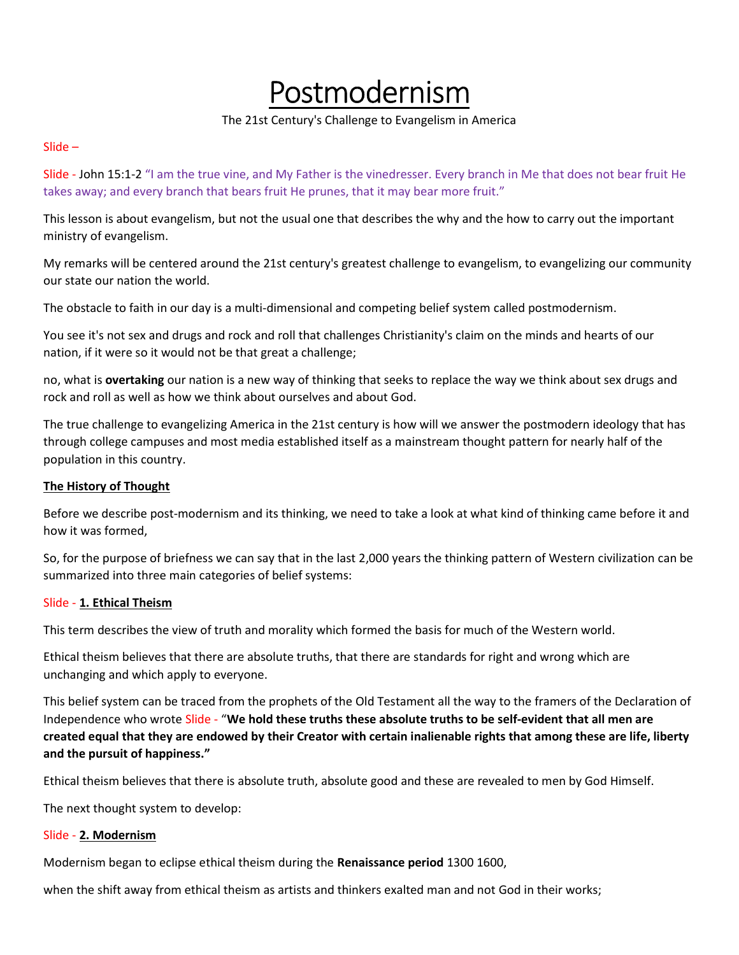# Postmodernism

## The 21st Century's Challenge to Evangelism in America

#### Slide –

Slide - John 15:1-2 "I am the true vine, and My Father is the vinedresser. Every branch in Me that does not bear fruit He takes away; and every branch that bears fruit He prunes, that it may bear more fruit."

This lesson is about evangelism, but not the usual one that describes the why and the how to carry out the important ministry of evangelism.

My remarks will be centered around the 21st century's greatest challenge to evangelism, to evangelizing our community our state our nation the world.

The obstacle to faith in our day is a multi-dimensional and competing belief system called postmodernism.

You see it's not sex and drugs and rock and roll that challenges Christianity's claim on the minds and hearts of our nation, if it were so it would not be that great a challenge;

no, what is overtaking our nation is a new way of thinking that seeks to replace the way we think about sex drugs and rock and roll as well as how we think about ourselves and about God.

The true challenge to evangelizing America in the 21st century is how will we answer the postmodern ideology that has through college campuses and most media established itself as a mainstream thought pattern for nearly half of the population in this country.

# The History of Thought

Before we describe post-modernism and its thinking, we need to take a look at what kind of thinking came before it and how it was formed,

So, for the purpose of briefness we can say that in the last 2,000 years the thinking pattern of Western civilization can be summarized into three main categories of belief systems:

## Slide - 1. Ethical Theism

This term describes the view of truth and morality which formed the basis for much of the Western world.

Ethical theism believes that there are absolute truths, that there are standards for right and wrong which are unchanging and which apply to everyone.

This belief system can be traced from the prophets of the Old Testament all the way to the framers of the Declaration of Independence who wrote Slide - "We hold these truths these absolute truths to be self-evident that all men are created equal that they are endowed by their Creator with certain inalienable rights that among these are life, liberty and the pursuit of happiness."

Ethical theism believes that there is absolute truth, absolute good and these are revealed to men by God Himself.

The next thought system to develop:

## Slide - 2. Modernism

Modernism began to eclipse ethical theism during the Renaissance period 1300 1600,

when the shift away from ethical theism as artists and thinkers exalted man and not God in their works;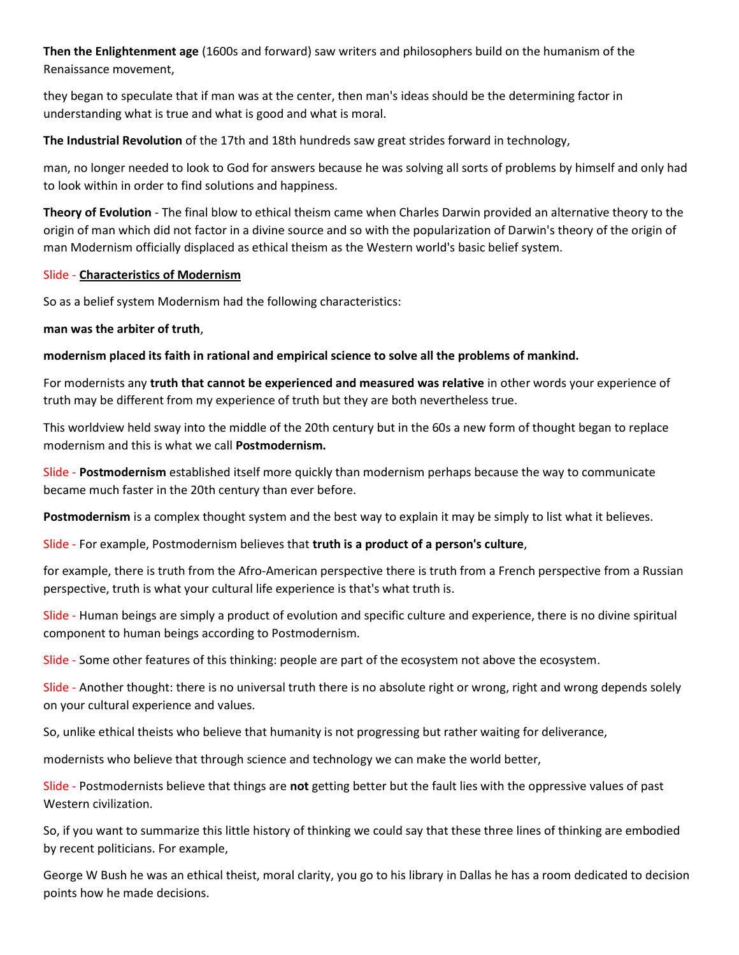Then the Enlightenment age (1600s and forward) saw writers and philosophers build on the humanism of the Renaissance movement,

they began to speculate that if man was at the center, then man's ideas should be the determining factor in understanding what is true and what is good and what is moral.

The Industrial Revolution of the 17th and 18th hundreds saw great strides forward in technology,

man, no longer needed to look to God for answers because he was solving all sorts of problems by himself and only had to look within in order to find solutions and happiness.

Theory of Evolution - The final blow to ethical theism came when Charles Darwin provided an alternative theory to the origin of man which did not factor in a divine source and so with the popularization of Darwin's theory of the origin of man Modernism officially displaced as ethical theism as the Western world's basic belief system.

## Slide - Characteristics of Modernism

So as a belief system Modernism had the following characteristics:

## man was the arbiter of truth,

modernism placed its faith in rational and empirical science to solve all the problems of mankind.

For modernists any truth that cannot be experienced and measured was relative in other words your experience of truth may be different from my experience of truth but they are both nevertheless true.

This worldview held sway into the middle of the 20th century but in the 60s a new form of thought began to replace modernism and this is what we call Postmodernism.

Slide - Postmodernism established itself more quickly than modernism perhaps because the way to communicate became much faster in the 20th century than ever before.

Postmodernism is a complex thought system and the best way to explain it may be simply to list what it believes.

Slide - For example, Postmodernism believes that truth is a product of a person's culture,

for example, there is truth from the Afro-American perspective there is truth from a French perspective from a Russian perspective, truth is what your cultural life experience is that's what truth is.

Slide - Human beings are simply a product of evolution and specific culture and experience, there is no divine spiritual component to human beings according to Postmodernism.

Slide - Some other features of this thinking: people are part of the ecosystem not above the ecosystem.

Slide - Another thought: there is no universal truth there is no absolute right or wrong, right and wrong depends solely on your cultural experience and values.

So, unlike ethical theists who believe that humanity is not progressing but rather waiting for deliverance,

modernists who believe that through science and technology we can make the world better,

Slide - Postmodernists believe that things are not getting better but the fault lies with the oppressive values of past Western civilization.

So, if you want to summarize this little history of thinking we could say that these three lines of thinking are embodied by recent politicians. For example,

George W Bush he was an ethical theist, moral clarity, you go to his library in Dallas he has a room dedicated to decision points how he made decisions.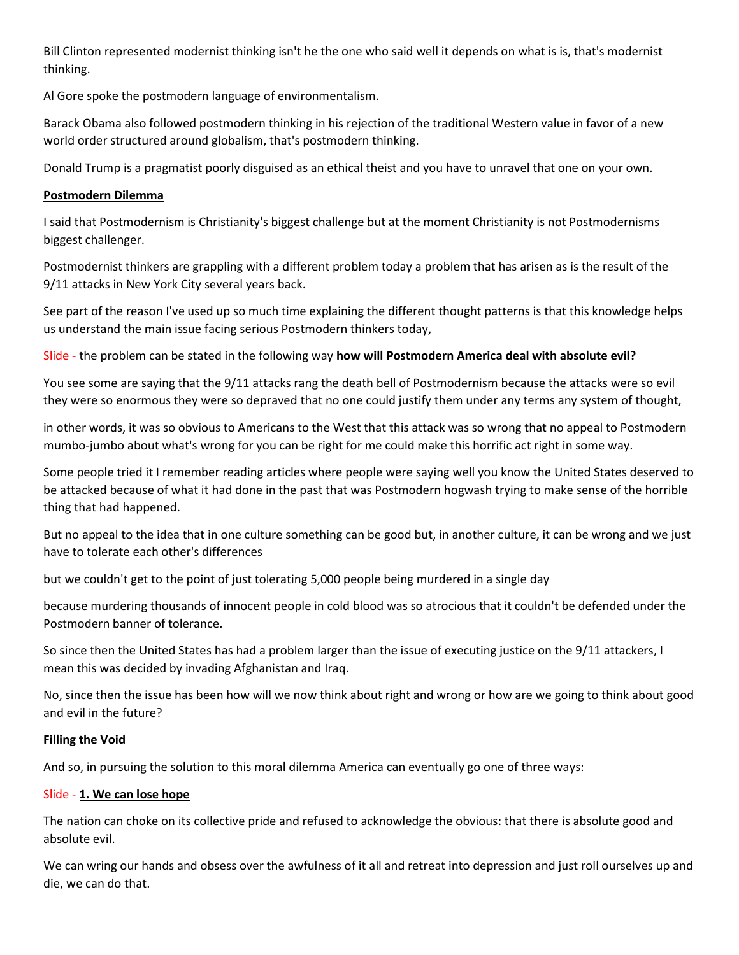Bill Clinton represented modernist thinking isn't he the one who said well it depends on what is is, that's modernist thinking.

Al Gore spoke the postmodern language of environmentalism.

Barack Obama also followed postmodern thinking in his rejection of the traditional Western value in favor of a new world order structured around globalism, that's postmodern thinking.

Donald Trump is a pragmatist poorly disguised as an ethical theist and you have to unravel that one on your own.

## Postmodern Dilemma

I said that Postmodernism is Christianity's biggest challenge but at the moment Christianity is not Postmodernisms biggest challenger.

Postmodernist thinkers are grappling with a different problem today a problem that has arisen as is the result of the 9/11 attacks in New York City several years back.

See part of the reason I've used up so much time explaining the different thought patterns is that this knowledge helps us understand the main issue facing serious Postmodern thinkers today,

Slide - the problem can be stated in the following way how will Postmodern America deal with absolute evil?

You see some are saying that the 9/11 attacks rang the death bell of Postmodernism because the attacks were so evil they were so enormous they were so depraved that no one could justify them under any terms any system of thought,

in other words, it was so obvious to Americans to the West that this attack was so wrong that no appeal to Postmodern mumbo-jumbo about what's wrong for you can be right for me could make this horrific act right in some way.

Some people tried it I remember reading articles where people were saying well you know the United States deserved to be attacked because of what it had done in the past that was Postmodern hogwash trying to make sense of the horrible thing that had happened.

But no appeal to the idea that in one culture something can be good but, in another culture, it can be wrong and we just have to tolerate each other's differences

but we couldn't get to the point of just tolerating 5,000 people being murdered in a single day

because murdering thousands of innocent people in cold blood was so atrocious that it couldn't be defended under the Postmodern banner of tolerance.

So since then the United States has had a problem larger than the issue of executing justice on the 9/11 attackers, I mean this was decided by invading Afghanistan and Iraq.

No, since then the issue has been how will we now think about right and wrong or how are we going to think about good and evil in the future?

## Filling the Void

And so, in pursuing the solution to this moral dilemma America can eventually go one of three ways:

## Slide - 1. We can lose hope

The nation can choke on its collective pride and refused to acknowledge the obvious: that there is absolute good and absolute evil.

We can wring our hands and obsess over the awfulness of it all and retreat into depression and just roll ourselves up and die, we can do that.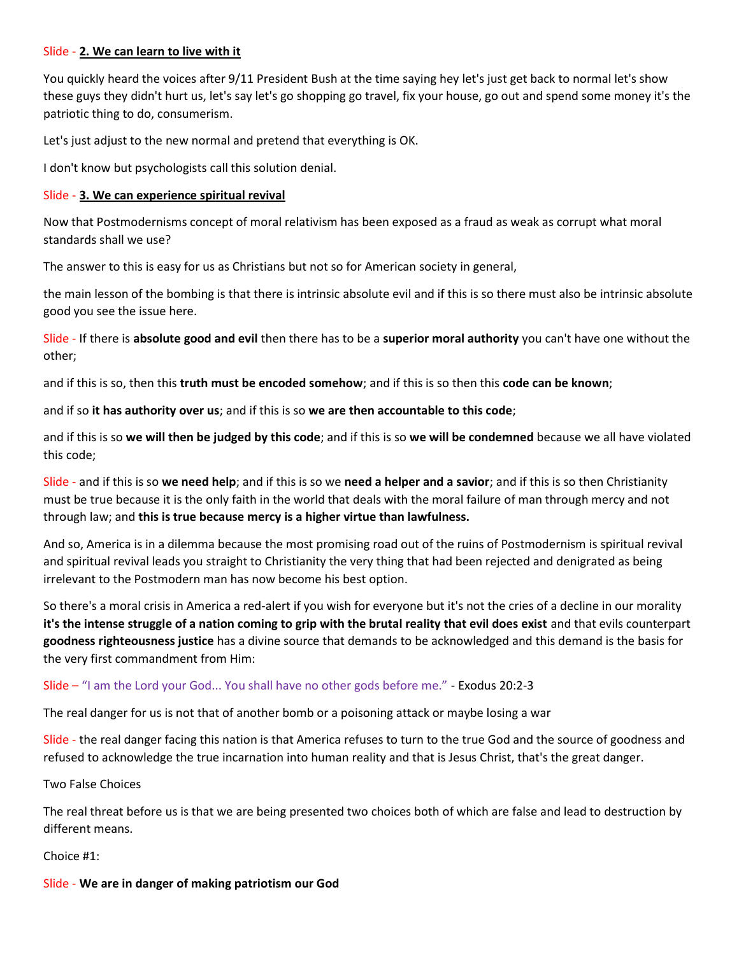#### Slide - 2. We can learn to live with it

You quickly heard the voices after 9/11 President Bush at the time saying hey let's just get back to normal let's show these guys they didn't hurt us, let's say let's go shopping go travel, fix your house, go out and spend some money it's the patriotic thing to do, consumerism.

Let's just adjust to the new normal and pretend that everything is OK.

I don't know but psychologists call this solution denial.

#### Slide - 3. We can experience spiritual revival

Now that Postmodernisms concept of moral relativism has been exposed as a fraud as weak as corrupt what moral standards shall we use?

The answer to this is easy for us as Christians but not so for American society in general,

the main lesson of the bombing is that there is intrinsic absolute evil and if this is so there must also be intrinsic absolute good you see the issue here.

Slide - If there is absolute good and evil then there has to be a superior moral authority you can't have one without the other;

and if this is so, then this truth must be encoded somehow; and if this is so then this code can be known;

and if so it has authority over us; and if this is so we are then accountable to this code;

and if this is so we will then be judged by this code; and if this is so we will be condemned because we all have violated this code;

Slide - and if this is so we need help; and if this is so we need a helper and a savior; and if this is so then Christianity must be true because it is the only faith in the world that deals with the moral failure of man through mercy and not through law; and this is true because mercy is a higher virtue than lawfulness.

And so, America is in a dilemma because the most promising road out of the ruins of Postmodernism is spiritual revival and spiritual revival leads you straight to Christianity the very thing that had been rejected and denigrated as being irrelevant to the Postmodern man has now become his best option.

So there's a moral crisis in America a red-alert if you wish for everyone but it's not the cries of a decline in our morality it's the intense struggle of a nation coming to grip with the brutal reality that evil does exist and that evils counterpart goodness righteousness justice has a divine source that demands to be acknowledged and this demand is the basis for the very first commandment from Him:

## Slide – "I am the Lord your God... You shall have no other gods before me." - Exodus 20:2-3

The real danger for us is not that of another bomb or a poisoning attack or maybe losing a war

Slide - the real danger facing this nation is that America refuses to turn to the true God and the source of goodness and refused to acknowledge the true incarnation into human reality and that is Jesus Christ, that's the great danger.

Two False Choices

The real threat before us is that we are being presented two choices both of which are false and lead to destruction by different means.

Choice #1:

Slide - We are in danger of making patriotism our God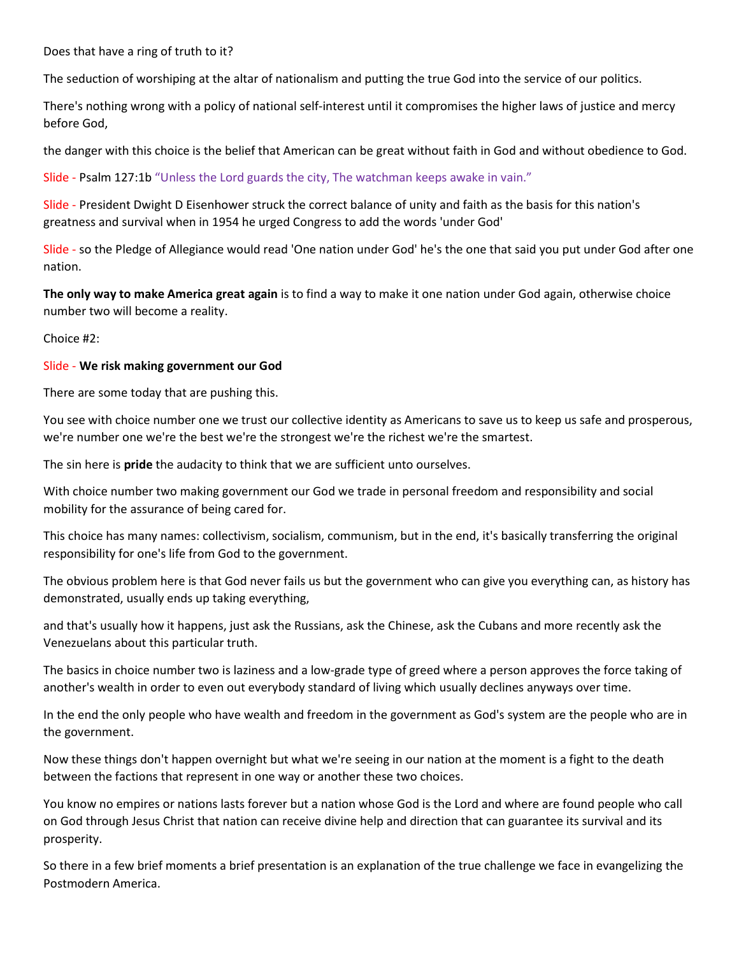Does that have a ring of truth to it?

The seduction of worshiping at the altar of nationalism and putting the true God into the service of our politics.

There's nothing wrong with a policy of national self-interest until it compromises the higher laws of justice and mercy before God,

the danger with this choice is the belief that American can be great without faith in God and without obedience to God.

Slide - Psalm 127:1b "Unless the Lord guards the city, The watchman keeps awake in vain."

Slide - President Dwight D Eisenhower struck the correct balance of unity and faith as the basis for this nation's greatness and survival when in 1954 he urged Congress to add the words 'under God'

Slide - so the Pledge of Allegiance would read 'One nation under God' he's the one that said you put under God after one nation.

The only way to make America great again is to find a way to make it one nation under God again, otherwise choice number two will become a reality.

Choice #2:

#### Slide - We risk making government our God

There are some today that are pushing this.

You see with choice number one we trust our collective identity as Americans to save us to keep us safe and prosperous, we're number one we're the best we're the strongest we're the richest we're the smartest.

The sin here is pride the audacity to think that we are sufficient unto ourselves.

With choice number two making government our God we trade in personal freedom and responsibility and social mobility for the assurance of being cared for.

This choice has many names: collectivism, socialism, communism, but in the end, it's basically transferring the original responsibility for one's life from God to the government.

The obvious problem here is that God never fails us but the government who can give you everything can, as history has demonstrated, usually ends up taking everything,

and that's usually how it happens, just ask the Russians, ask the Chinese, ask the Cubans and more recently ask the Venezuelans about this particular truth.

The basics in choice number two is laziness and a low-grade type of greed where a person approves the force taking of another's wealth in order to even out everybody standard of living which usually declines anyways over time.

In the end the only people who have wealth and freedom in the government as God's system are the people who are in the government.

Now these things don't happen overnight but what we're seeing in our nation at the moment is a fight to the death between the factions that represent in one way or another these two choices.

You know no empires or nations lasts forever but a nation whose God is the Lord and where are found people who call on God through Jesus Christ that nation can receive divine help and direction that can guarantee its survival and its prosperity.

So there in a few brief moments a brief presentation is an explanation of the true challenge we face in evangelizing the Postmodern America.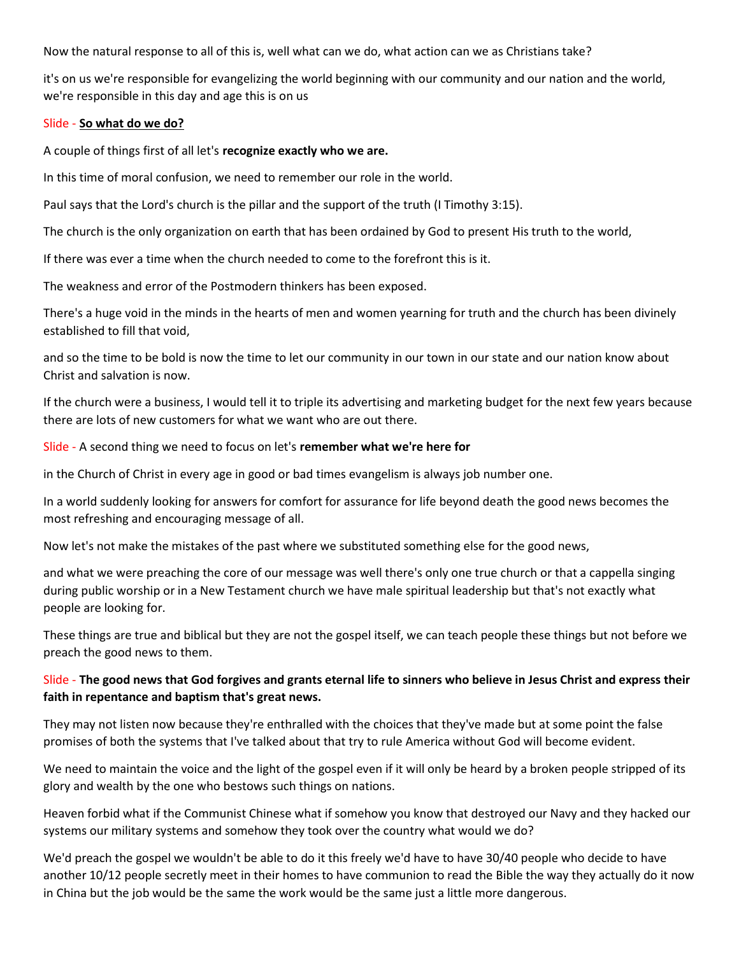Now the natural response to all of this is, well what can we do, what action can we as Christians take?

it's on us we're responsible for evangelizing the world beginning with our community and our nation and the world, we're responsible in this day and age this is on us

#### Slide - So what do we do?

A couple of things first of all let's recognize exactly who we are.

In this time of moral confusion, we need to remember our role in the world.

Paul says that the Lord's church is the pillar and the support of the truth (I Timothy 3:15).

The church is the only organization on earth that has been ordained by God to present His truth to the world,

If there was ever a time when the church needed to come to the forefront this is it.

The weakness and error of the Postmodern thinkers has been exposed.

There's a huge void in the minds in the hearts of men and women yearning for truth and the church has been divinely established to fill that void,

and so the time to be bold is now the time to let our community in our town in our state and our nation know about Christ and salvation is now.

If the church were a business, I would tell it to triple its advertising and marketing budget for the next few years because there are lots of new customers for what we want who are out there.

Slide - A second thing we need to focus on let's remember what we're here for

in the Church of Christ in every age in good or bad times evangelism is always job number one.

In a world suddenly looking for answers for comfort for assurance for life beyond death the good news becomes the most refreshing and encouraging message of all.

Now let's not make the mistakes of the past where we substituted something else for the good news,

and what we were preaching the core of our message was well there's only one true church or that a cappella singing during public worship or in a New Testament church we have male spiritual leadership but that's not exactly what people are looking for.

These things are true and biblical but they are not the gospel itself, we can teach people these things but not before we preach the good news to them.

# Slide - The good news that God forgives and grants eternal life to sinners who believe in Jesus Christ and express their faith in repentance and baptism that's great news.

They may not listen now because they're enthralled with the choices that they've made but at some point the false promises of both the systems that I've talked about that try to rule America without God will become evident.

We need to maintain the voice and the light of the gospel even if it will only be heard by a broken people stripped of its glory and wealth by the one who bestows such things on nations.

Heaven forbid what if the Communist Chinese what if somehow you know that destroyed our Navy and they hacked our systems our military systems and somehow they took over the country what would we do?

We'd preach the gospel we wouldn't be able to do it this freely we'd have to have 30/40 people who decide to have another 10/12 people secretly meet in their homes to have communion to read the Bible the way they actually do it now in China but the job would be the same the work would be the same just a little more dangerous.